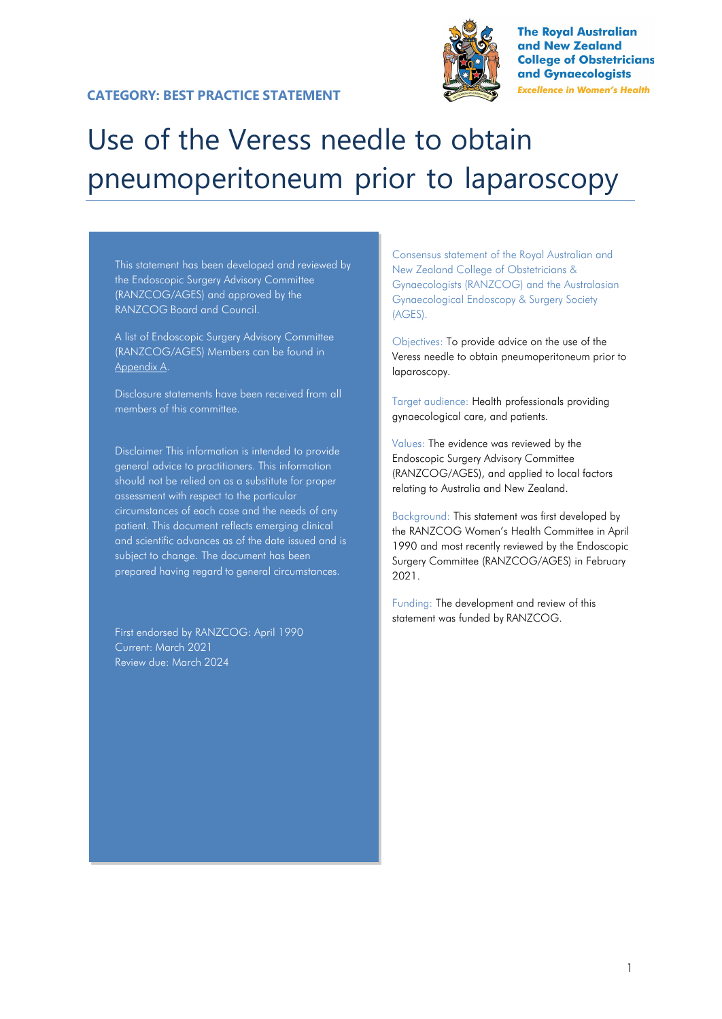### **CATEGORY: BEST PRACTICE STATEMENT**



**The Royal Australian** and New Zealand **College of Obstetricians** and Gynaecologists **Excellence in Women's Health** 

# Use of the Veress needle to obtain pneumoperitoneum prior to laparoscopy

This statement has been developed and reviewed by the Endoscopic Surgery Advisory Committee (RANZCOG/AGES) and approved by the RANZCOG Board and Council.

A list of Endoscopic Surgery Advisory Committee (RANZCOG/AGES) Members can be found in Appendix A.

Disclosure statements have been received from all members of this committee.

Disclaimer This information is intended to provide general advice to practitioners. This information should not be relied on as a substitute for proper assessment with respect to the particular circumstances of each case and the needs of any patient. This document reflects emerging clinical and scientific advances as of the date issued and is subject to change. The document has been prepared having regard to general circumstances.

First endorsed by RANZCOG: April 1990 Current: March 2021 Review due: March 2024

Consensus statement of the Royal Australian and New Zealand College of Obstetricians & Gynaecologists (RANZCOG) and the Australasian Gynaecological Endoscopy & Surgery Society (AGES).

Objectives: To provide advice on the use of the Veress needle to obtain pneumoperitoneum prior to laparoscopy.

Target audience: Health professionals providing gynaecological care, and patients.

Values: The evidence was reviewed by the Endoscopic Surgery Advisory Committee (RANZCOG/AGES), and applied to local factors relating to Australia and New Zealand.

Background: This statement was first developed by the RANZCOG Women's Health Committee in April 1990 and most recently reviewed by the Endoscopic Surgery Committee (RANZCOG/AGES) in February 2021.

Funding: The development and review of this statement was funded by RANZCOG.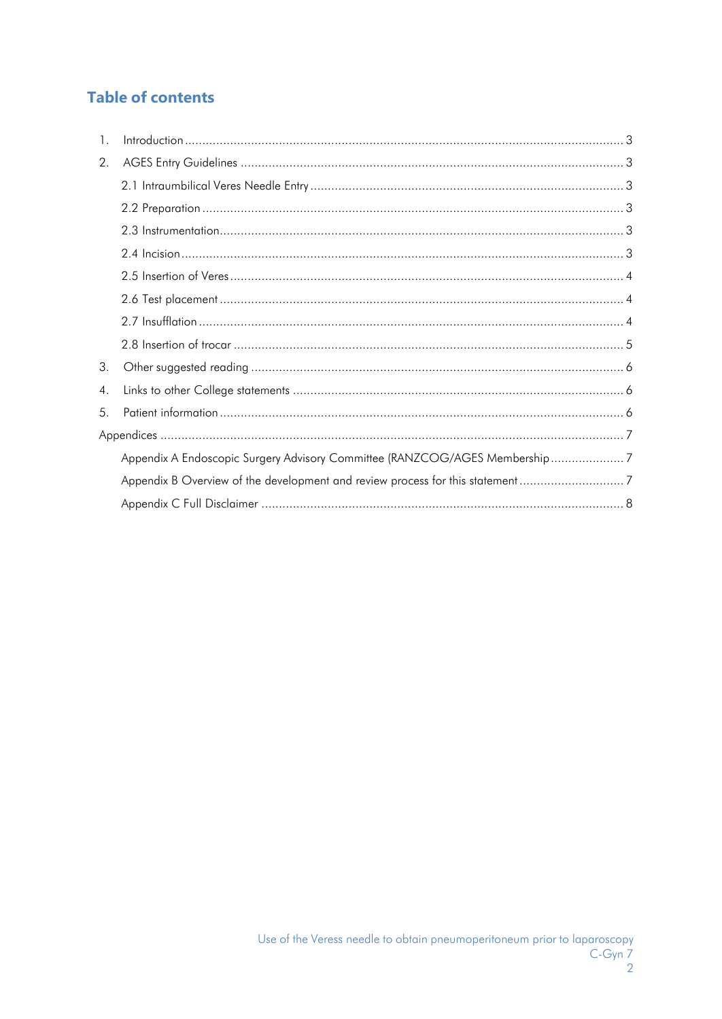## **Table of contents**

| $\mathbf{1}$ .   | $\label{eq:1} \begin{minipage}{0.9\linewidth} \begin{minipage}{0.9\linewidth} \begin{minipage}{0.9\linewidth} \begin{minipage}{0.9\linewidth} \begin{minipage}{0.9\linewidth} \end{minipage} \begin{minipage}{0.9\linewidth} \begin{minipage}{0.9\linewidth} \end{minipage} \begin{minipage}{0.9\linewidth} \begin{minipage}{0.9\linewidth} \end{minipage} \begin{minipage}{0.9\linewidth} \end{minipage} \begin{minipage}{0.9\linewidth} \begin{minipage}{0.9\linewidth} \end{minipage} \begin{minipage}{0.9\linewidth} \end{minipage} \begin$ |  |
|------------------|-------------------------------------------------------------------------------------------------------------------------------------------------------------------------------------------------------------------------------------------------------------------------------------------------------------------------------------------------------------------------------------------------------------------------------------------------------------------------------------------------------------------------------------------------|--|
| 2.               |                                                                                                                                                                                                                                                                                                                                                                                                                                                                                                                                                 |  |
|                  |                                                                                                                                                                                                                                                                                                                                                                                                                                                                                                                                                 |  |
|                  |                                                                                                                                                                                                                                                                                                                                                                                                                                                                                                                                                 |  |
|                  |                                                                                                                                                                                                                                                                                                                                                                                                                                                                                                                                                 |  |
|                  |                                                                                                                                                                                                                                                                                                                                                                                                                                                                                                                                                 |  |
|                  |                                                                                                                                                                                                                                                                                                                                                                                                                                                                                                                                                 |  |
|                  |                                                                                                                                                                                                                                                                                                                                                                                                                                                                                                                                                 |  |
|                  |                                                                                                                                                                                                                                                                                                                                                                                                                                                                                                                                                 |  |
|                  |                                                                                                                                                                                                                                                                                                                                                                                                                                                                                                                                                 |  |
| 3.               |                                                                                                                                                                                                                                                                                                                                                                                                                                                                                                                                                 |  |
| $\overline{4}$ . |                                                                                                                                                                                                                                                                                                                                                                                                                                                                                                                                                 |  |
| 5.               |                                                                                                                                                                                                                                                                                                                                                                                                                                                                                                                                                 |  |
|                  |                                                                                                                                                                                                                                                                                                                                                                                                                                                                                                                                                 |  |
|                  | Appendix A Endoscopic Surgery Advisory Committee (RANZCOG/AGES Membership7                                                                                                                                                                                                                                                                                                                                                                                                                                                                      |  |
|                  |                                                                                                                                                                                                                                                                                                                                                                                                                                                                                                                                                 |  |
|                  |                                                                                                                                                                                                                                                                                                                                                                                                                                                                                                                                                 |  |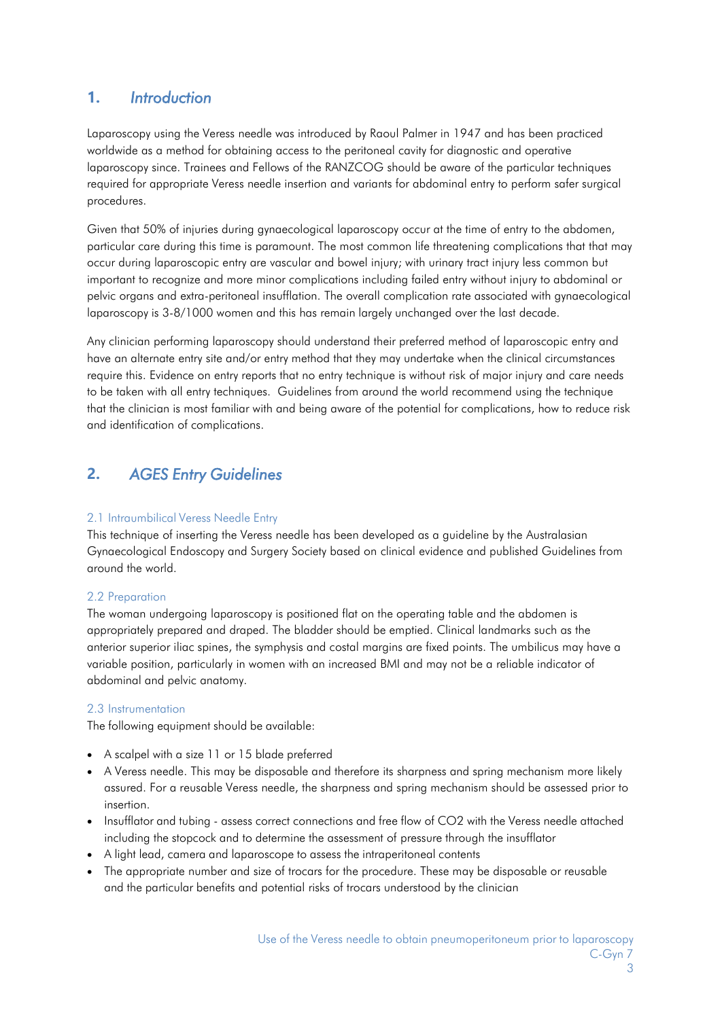### <span id="page-2-0"></span>**1.** *Introduction*

Laparoscopy using the Veress needle was introduced by Raoul Palmer in 1947 and has been practiced worldwide as a method for obtaining access to the peritoneal cavity for diagnostic and operative laparoscopy since. Trainees and Fellows of the RANZCOG should be aware of the particular techniques required for appropriate Veress needle insertion and variants for abdominal entry to perform safer surgical procedures.

Given that 50% of injuries during gynaecological laparoscopy occur at the time of entry to the abdomen, particular care during this time is paramount. The most common life threatening complications that that may occur during laparoscopic entry are vascular and bowel injury; with urinary tract injury less common but important to recognize and more minor complications including failed entry without injury to abdominal or pelvic organs and extra-peritoneal insufflation. The overall complication rate associated with gynaecological laparoscopy is 3-8/1000 women and this has remain largely unchanged over the last decade.

Any clinician performing laparoscopy should understand their preferred method of laparoscopic entry and have an alternate entry site and/or entry method that they may undertake when the clinical circumstances require this. Evidence on entry reports that no entry technique is without risk of major injury and care needs to be taken with all entry techniques. Guidelines from around the world recommend using the technique that the clinician is most familiar with and being aware of the potential for complications, how to reduce risk and identification of complications.

### <span id="page-2-1"></span>**2.** *AGES Entry Guidelines*

### <span id="page-2-2"></span>2.1 Intraumbilical Veress Needle Entry

This technique of inserting the Veress needle has been developed as a guideline by the Australasian Gynaecological Endoscopy and Surgery Society based on clinical evidence and published Guidelines from around the world.

### <span id="page-2-3"></span>2.2 Preparation

The woman undergoing laparoscopy is positioned flat on the operating table and the abdomen is appropriately prepared and draped. The bladder should be emptied. Clinical landmarks such as the anterior superior iliac spines, the symphysis and costal margins are fixed points. The umbilicus may have a variable position, particularly in women with an increased BMI and may not be a reliable indicator of abdominal and pelvic anatomy.

#### <span id="page-2-4"></span>2.3 Instrumentation

The following equipment should be available:

- A scalpel with a size 11 or 15 blade preferred
- A Veress needle. This may be disposable and therefore its sharpness and spring mechanism more likely assured. For a reusable Veress needle, the sharpness and spring mechanism should be assessed prior to insertion.
- Insufflator and tubing assess correct connections and free flow of CO2 with the Veress needle attached including the stopcock and to determine the assessment of pressure through the insufflator
- A light lead, camera and laparoscope to assess the intraperitoneal contents
- The appropriate number and size of trocars for the procedure. These may be disposable or reusable and the particular benefits and potential risks of trocars understood by the clinician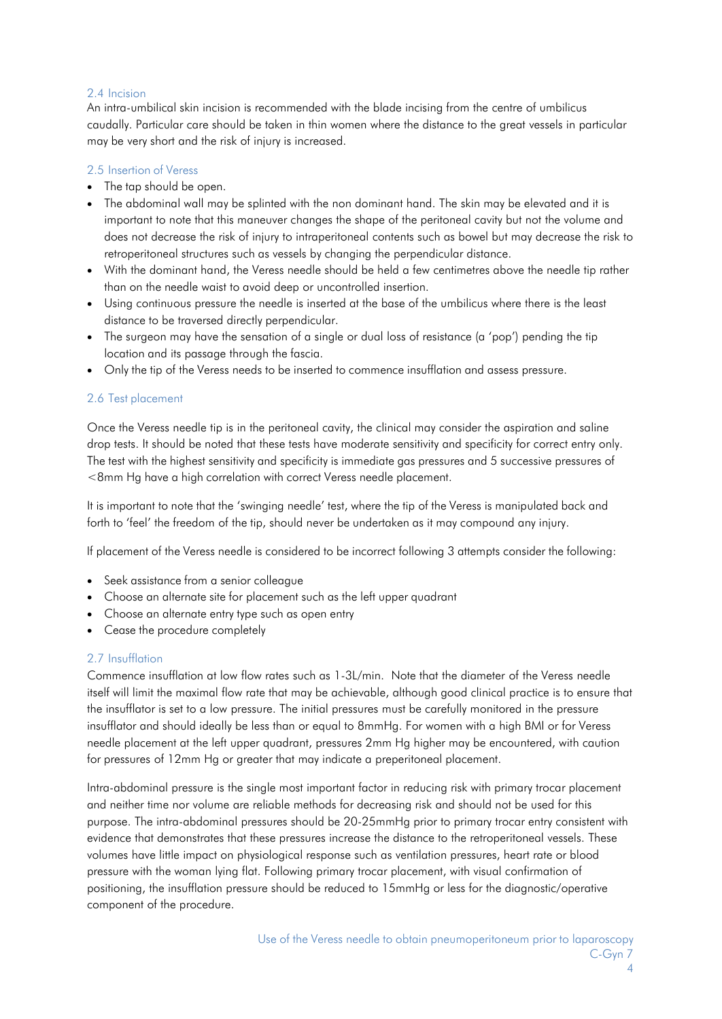### <span id="page-3-0"></span>2.4 Incision

An intra-umbilical skin incision is recommended with the blade incising from the centre of umbilicus caudally. Particular care should be taken in thin women where the distance to the great vessels in particular may be very short and the risk of injury is increased.

### <span id="page-3-1"></span>2.5 Insertion of Veress

- The tap should be open.
- The abdominal wall may be splinted with the non dominant hand. The skin may be elevated and it is important to note that this maneuver changes the shape of the peritoneal cavity but not the volume and does not decrease the risk of injury to intraperitoneal contents such as bowel but may decrease the risk to retroperitoneal structures such as vessels by changing the perpendicular distance.
- With the dominant hand, the Veress needle should be held a few centimetres above the needle tip rather than on the needle waist to avoid deep or uncontrolled insertion.
- Using continuous pressure the needle is inserted at the base of the umbilicus where there is the least distance to be traversed directly perpendicular.
- The surgeon may have the sensation of a single or dual loss of resistance (a 'pop') pending the tip location and its passage through the fascia.
- Only the tip of the Veress needs to be inserted to commence insufflation and assess pressure.

### 2.6 Test placement

<span id="page-3-2"></span>Once the Veress needle tip is in the peritoneal cavity, the clinical may consider the aspiration and saline drop tests. It should be noted that these tests have moderate sensitivity and specificity for correct entry only. The test with the highest sensitivity and specificity is immediate gas pressures and 5 successive pressures of <8mm Hg have a high correlation with correct Veress needle placement.

It is important to note that the 'swinging needle' test, where the tip of the Veress is manipulated back and forth to 'feel' the freedom of the tip, should never be undertaken as it may compound any injury.

If placement of the Veress needle is considered to be incorrect following 3 attempts consider the following:

- Seek assistance from a senior colleague
- Choose an alternate site for placement such as the left upper quadrant
- Choose an alternate entry type such as open entry
- Cease the procedure completely

### 2.7 Insufflation

Commence insufflation at low flow rates such as 1-3L/min. Note that the diameter of the Veress needle itself will limit the maximal flow rate that may be achievable, although good clinical practice is to ensure that the insufflator is set to a low pressure. The initial pressures must be carefully monitored in the pressure insufflator and should ideally be less than or equal to 8mmHg. For women with a high BMI or for Veress needle placement at the left upper quadrant, pressures 2mm Hg higher may be encountered, with caution for pressures of 12mm Hg or greater that may indicate a preperitoneal placement.

Intra-abdominal pressure is the single most important factor in reducing risk with primary trocar placement and neither time nor volume are reliable methods for decreasing risk and should not be used for this purpose. The intra-abdominal pressures should be 20-25mmHg prior to primary trocar entry consistent with evidence that demonstrates that these pressures increase the distance to the retroperitoneal vessels. These volumes have little impact on physiological response such as ventilation pressures, heart rate or blood pressure with the woman lying flat. Following primary trocar placement, with visual confirmation of positioning, the insufflation pressure should be reduced to 15mmHg or less for the diagnostic/operative component of the procedure.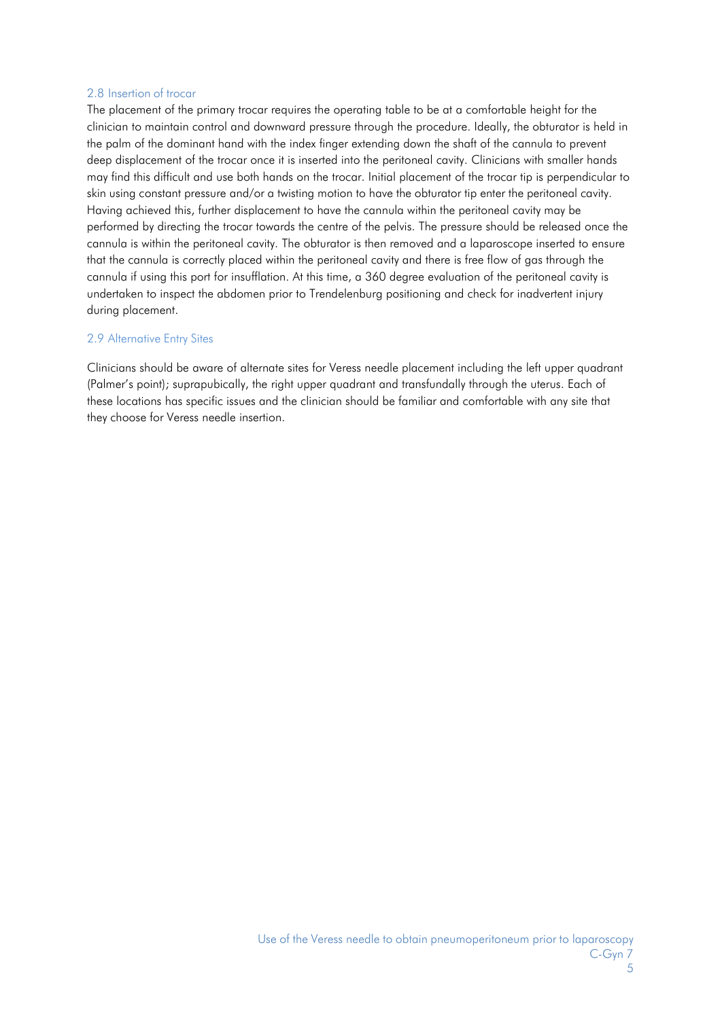#### <span id="page-4-0"></span>2.8 Insertion of trocar

The placement of the primary trocar requires the operating table to be at a comfortable height for the clinician to maintain control and downward pressure through the procedure. Ideally, the obturator is held in the palm of the dominant hand with the index finger extending down the shaft of the cannula to prevent deep displacement of the trocar once it is inserted into the peritoneal cavity. Clinicians with smaller hands may find this difficult and use both hands on the trocar. Initial placement of the trocar tip is perpendicular to skin using constant pressure and/or a twisting motion to have the obturator tip enter the peritoneal cavity. Having achieved this, further displacement to have the cannula within the peritoneal cavity may be performed by directing the trocar towards the centre of the pelvis. The pressure should be released once the cannula is within the peritoneal cavity. The obturator is then removed and a laparoscope inserted to ensure that the cannula is correctly placed within the peritoneal cavity and there is free flow of gas through the cannula if using this port for insufflation. At this time, a 360 degree evaluation of the peritoneal cavity is undertaken to inspect the abdomen prior to Trendelenburg positioning and check for inadvertent injury during placement.

#### 2.9 Alternative Entry Sites

Clinicians should be aware of alternate sites for Veress needle placement including the left upper quadrant (Palmer's point); suprapubically, the right upper quadrant and transfundally through the uterus. Each of these locations has specific issues and the clinician should be familiar and comfortable with any site that they choose for Veress needle insertion.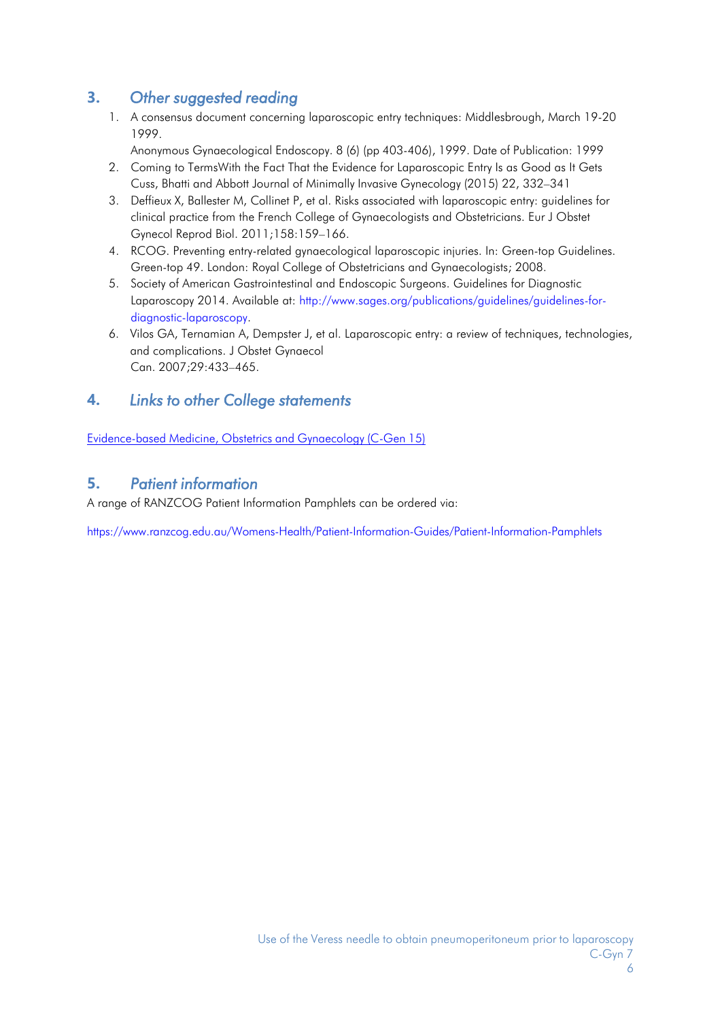### <span id="page-5-0"></span>**3.** *Other suggested reading*

- 1. A consensus document concerning laparoscopic entry techniques: Middlesbrough, March 19-20 1999.
	- Anonymous Gynaecological Endoscopy. 8 (6) (pp 403-406), 1999. Date of Publication: 1999
- 2. Coming to TermsWith the Fact That the Evidence for Laparoscopic Entry Is as Good as It Gets Cuss, Bhatti and Abbott Journal of Minimally Invasive Gynecology (2015) 22, 332–341
- 3. Deffieux X, Ballester M, Collinet P, et al. Risks associated with laparoscopic entry: guidelines for clinical practice from the French College of Gynaecologists and Obstetricians. Eur J Obstet Gynecol Reprod Biol. 2011;158:159–166.
- 4. RCOG. Preventing entry-related gynaecological laparoscopic injuries. In: Green-top Guidelines. Green-top 49. London: Royal College of Obstetricians and Gynaecologists; 2008.
- 5. Society of American Gastrointestinal and Endoscopic Surgeons. Guidelines for Diagnostic Laparoscopy 2014. Available at: [http://www.sages.org/publications/guidelines/guidelines-for](http://www.sages.org/publications/guidelines/guidelines-for-diagnostic-laparoscopy)[diagnostic-laparoscopy.](http://www.sages.org/publications/guidelines/guidelines-for-diagnostic-laparoscopy)
- 6. Vilos GA, Ternamian A, Dempster J, et al. Laparoscopic entry: a review of techniques, technologies, and complications. J Obstet Gynaecol Can. 2007;29:433–465.

### <span id="page-5-1"></span>**4.** *Links to other College statements*

[Evidence-based](https://www.ranzcog.edu.au/RANZCOG_SITE/media/RANZCOG-%20MEDIA/Women%27s%20Health/Statement%20and%20guidelines/Clinical%20-%20General/Evidence-%20based-medicine,-Obstetrics-and-Gynaecology-(C-Gen-15)-Review-March-2016.pdf?ext=.pdf) Medicine, Obstetrics and Gynaecology (C-Gen 15)

### <span id="page-5-2"></span>**5.** *Patient information*

A range of RANZCOG Patient Information Pamphlets can be ordered via:

<https://www.ranzcog.edu.au/Womens-Health/Patient-Information-Guides/Patient-Information-Pamphlets>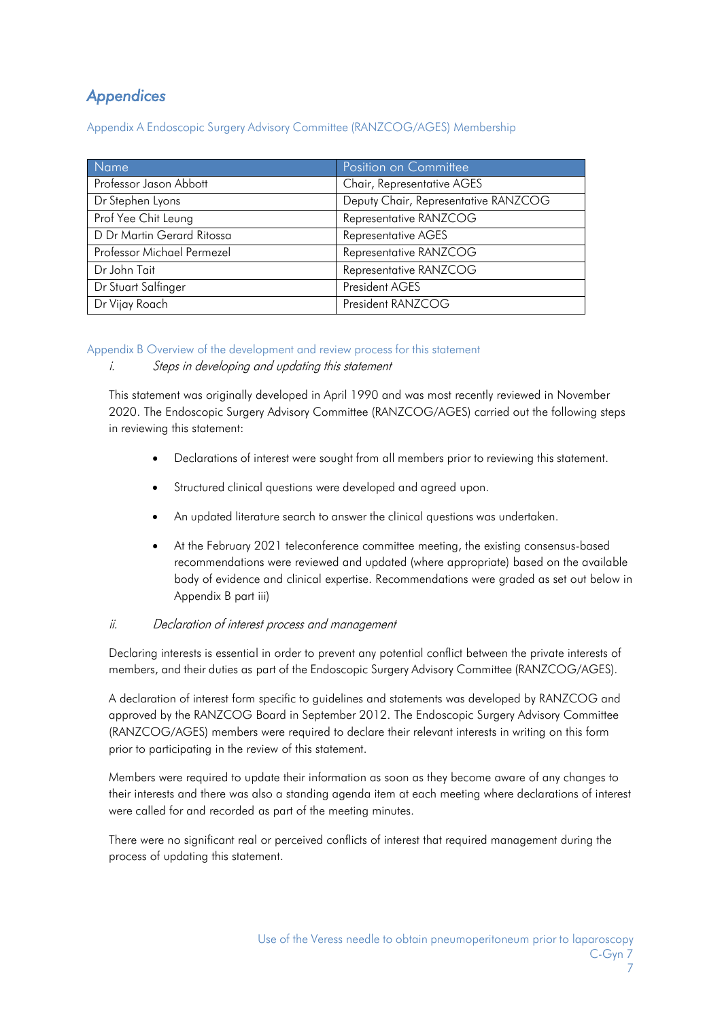### <span id="page-6-0"></span>*Appendices*

Appendix A Endoscopic Surgery Advisory Committee (RANZCOG/AGES) Membership

| Name                       | Position on Committee                |
|----------------------------|--------------------------------------|
| Professor Jason Abbott     | Chair, Representative AGES           |
| Dr Stephen Lyons           | Deputy Chair, Representative RANZCOG |
| Prof Yee Chit Leung        | Representative RANZCOG               |
| D Dr Martin Gerard Ritossa | Representative AGES                  |
| Professor Michael Permezel | Representative RANZCOG               |
| Dr John Tait               | Representative RANZCOG               |
| Dr Stuart Salfinger        | President AGES                       |
| Dr Vijay Roach             | President RANZCOG                    |

### <span id="page-6-1"></span>Appendix B Overview of the development and review process for this statement

### i. Steps in developing and updating this statement

This statement was originally developed in April 1990 and was most recently reviewed in November 2020. The Endoscopic Surgery Advisory Committee (RANZCOG/AGES) carried out the following steps in reviewing this statement:

- Declarations of interest were sought from all members prior to reviewing this statement.
- Structured clinical questions were developed and agreed upon.
- An updated literature search to answer the clinical questions was undertaken.
- At the February 2021 teleconference committee meeting, the existing consensus-based recommendations were reviewed and updated (where appropriate) based on the available body of evidence and clinical expertise. Recommendations were graded as set out below in Appendix B part iii)

### ii. Declaration of interest process and management

Declaring interests is essential in order to prevent any potential conflict between the private interests of members, and their duties as part of the Endoscopic Surgery Advisory Committee (RANZCOG/AGES).

A declaration of interest form specific to guidelines and statements was developed by RANZCOG and approved by the RANZCOG Board in September 2012. The Endoscopic Surgery Advisory Committee (RANZCOG/AGES) members were required to declare their relevant interests in writing on this form prior to participating in the review of this statement.

Members were required to update their information as soon as they become aware of any changes to their interests and there was also a standing agenda item at each meeting where declarations of interest were called for and recorded as part of the meeting minutes.

There were no significant real or perceived conflicts of interest that required management during the process of updating this statement.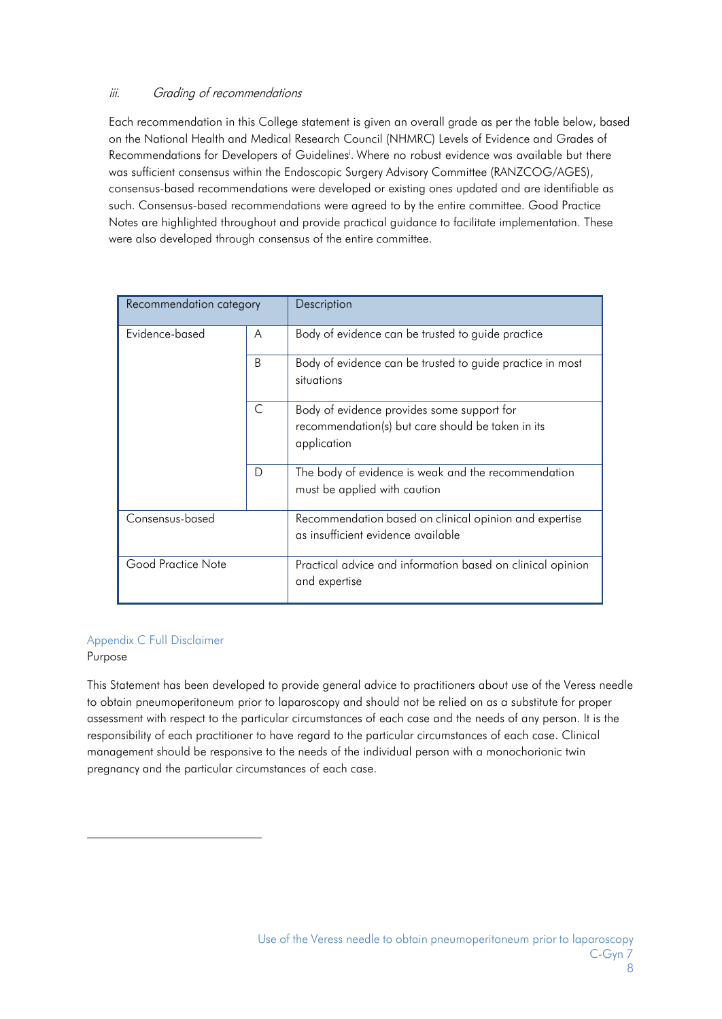### iii. Grading of recommendations

Each recommendation in this College statement is given an overall grade as per the table below, based on the National Health and Medical Research Council (NHMRC) Levels of Evidence and Grades of Recommendations for Developers of Guideline[si](#page-8-0) . Where no robust evidence was available but there was sufficient consensus within the Endoscopic Surgery Advisory Committee (RANZCOG/AGES), consensus-based recommendations were developed or existing ones updated and are identifiable as such. Consensus-based recommendations were agreed to by the entire committee. Good Practice Notes are highlighted throughout and provide practical guidance to facilitate implementation. These were also developed through consensus of the entire committee.

| Recommendation category |   | Description                                                                                                    |
|-------------------------|---|----------------------------------------------------------------------------------------------------------------|
| Evidence-based          | A | Body of evidence can be trusted to guide practice                                                              |
|                         | B | Body of evidence can be trusted to guide practice in most<br>situations                                        |
|                         | C | Body of evidence provides some support for<br>recommendation(s) but care should be taken in its<br>application |
|                         | D | The body of evidence is weak and the recommendation<br>must be applied with caution                            |
| Consensus-based         |   | Recommendation based on clinical opinion and expertise<br>as insufficient evidence available                   |
| Good Practice Note      |   | Practical advice and information based on clinical opinion<br>and expertise                                    |

### <span id="page-7-0"></span>Appendix C Full Disclaimer

### Purpose

This Statement has been developed to provide general advice to practitioners about use of the Veress needle to obtain pneumoperitoneum prior to laparoscopy and should not be relied on as a substitute for proper assessment with respect to the particular circumstances of each case and the needs of any person. It is the responsibility of each practitioner to have regard to the particular circumstances of each case. Clinical management should be responsive to the needs of the individual person with a monochorionic twin pregnancy and the particular circumstances of each case.